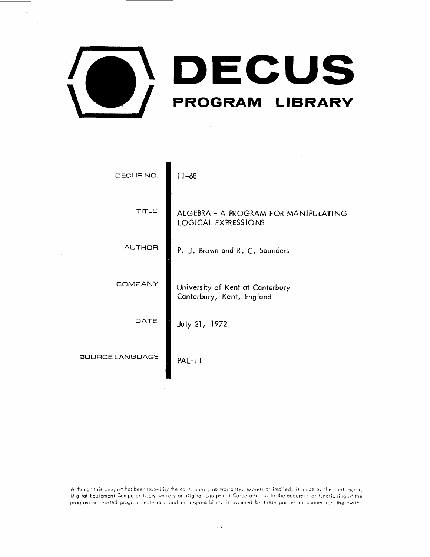

| DECUS NO.       | $11 - 68$                                                          |
|-----------------|--------------------------------------------------------------------|
| TITLE           | ALGEBRA - A PROGRAM FOR MANIPULATING<br><b>LOGICAL EXPRESSIONS</b> |
| AUTHOR          | P. J. Brown and R. C. Saunders                                     |
| COMPANY         | University of Kent at Canterbury<br>Canterbury, Kent, England      |
| DATE            | <b>July 21, 1972</b>                                               |
| SOURCE LANGUAGE | $PAL-11$                                                           |

Although this program has been tested by the contributor, no warranty, express or implied, is made by the contributor, Digital Equipment Computer Users Society or Digital Equipment Corporation as to the accuracy or functioning of the program or related program material, and no responsibility is assumed by these parties in connection therewith.

**- 2**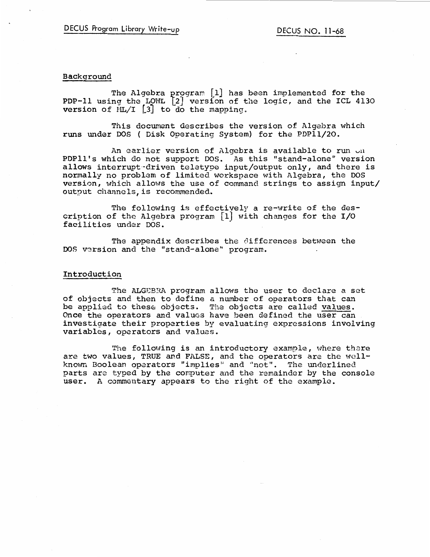# Background

The Algebra program [1] has been implemented for the PDP-11 using the LOWL L2J versfon of the logic, and the ICL 4130 **version of ML/I**  $\begin{bmatrix} 3 \\ 1 \end{bmatrix}$  to do the mapping.

This document describes the version of Algebra which runs under DOS ( Disk Operating System) for the PDPll/20.

An earlier version of Algebra is available to run on PDPll's which do not support DOS. As this "stand-alone" version allows interrupt-driven teletype input/output only, and there is normally no problem of limited workspace with Algebra, the DOS version, which allows the use of command strings to assign input/ output channels,is recommended.

The following is effectively a re-write of the description of the Algebra program [1] with changes for the I/O facilities under DOS.

The appendix describes the differences between the DOS version and the "stand-alone" program.

### Introduction

The ALGEBRA program allows the user to declare a set of objects and then to define a number of operators that can be applied to these objects. The objects are called values. Once the operators and values have been defined the user can investigate their properties by evaluating expressions involving variables, operators and values.

The following is an introductory example, where there are two values, TRUE and FALSE, and the operators are the wellknown Boolean operators "implies" and "not". The underlined parts are typed by the computer and the remainder by the console user. A commentary appears to the right of the example.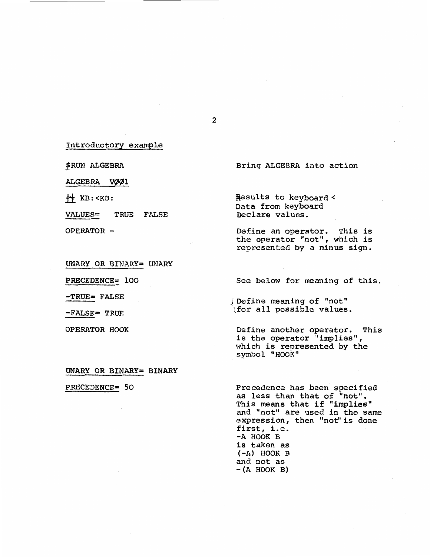Introductory example

jRUN ALGEBRA

ALGEBRA VØØ1

 $\leftrightarrow$  KB: <KB:

VALUES= TRUE FALSE

OPERATOR -

UNARY OR BINARY= UNARY

PRECEDENCE= 100

-TRUE= FALSE

-FALSE= TRUE

OPERATOR HOOK

**UNARY OR BINARY= BINARY** 

PRECEDENCE= 50

Precedence has been specified as less than that of "not". This means that if "implies" and "not" are used in the same expression, then "not" is done first, i.e. **-A HOOK** B is taken as **(-A) HOOK** B  $-(A HOOK B)$ 

Bring ALGEBRA into action

Results to keyboard < Data from keyboard Declare values.

Define an operator. This is the operator "not", which is represented by a minus sign.

See below for meaning of this.

J Define meaning of "not" Ifor all possible values.

Define another operator. This is the operator 'implies", which is represented by the symbol "HOOK"

2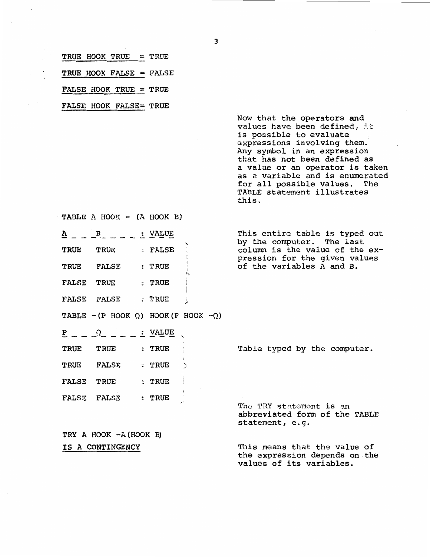|  |  | <b>TRUE HOOK TRUE</b> |  |  | $=$ TRUE |
|--|--|-----------------------|--|--|----------|
|--|--|-----------------------|--|--|----------|

TRUE HOOK FALSE= FALSE

FALSE HOOK TRUE = TRUE

FALSE HOOK FALSE= TRUE

Now that the operators and values have been defined, it is possible to evaluate expressions involving them. Any symbol in an expression that has not been defined as a value or an operator is taken as a variable and is enumerated<br>for all possible values. The for all possible values. TABLE statement illustrates this.

values of its variables.

**TABLE A HOOK**  $-$  **(A HOOK B)**  $A = -B - - - \frac{1}{2}$  VALUE<br>TRUE TRUE : FALSE **TRUE** TRUE FALSE **TRUE FALSE : TRUE** FALSE TRUE : TRUE FALSE FALSE : TRUE  $TABLE - (P HOOK \t Q) HOOK(P HOOK - Q)$  $P = Q = -1$  $\frac{P}{P}$  - -  $\frac{Q}{P}$  - - - -  $\frac{Q}{P}$ **TRUE TRUE** TRUE **TRUE FALSE : TRUE** FALSE TRUE : TRUE FALSE FALSE : TRUE TRY A HOOK -A (HOOK B) **IS A CONTINGENCY**  ' ,,. .... i  $\mathbf{I}$ I .<br>" ; ~  $\geq$ This entire table is typed out by the computer. The last column is the value of the expression for the given values of the variables A and B. Table typed by the computer. The TRY statement is an abbreviated form of the TABLE statement, e.g. This means that the value of the expression depends on-the

3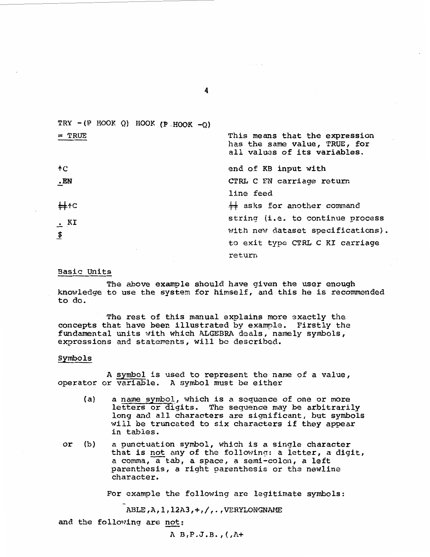TRY  $-(P HOOK Q) HOOK (P HOOK -Q)$ <sup>=</sup>TRUE This means that the expression has the same value, TRUE, for all values of its variables. end of KB input with tc **.EN**  CTRL c FN carriage return line feed  $\#$  asks for another command  $#$ <sup>†</sup> string (i.e. to continue process . **KI**  with new dataset specifications).  $\boldsymbol{\mathfrak{s}}$ to exit type CTRL C KI carriage return

4

## Basic Units

The above example should have given the user enough knowledge to use the system for himself, and this he is recommended to do.

The rest of this manual explains more exactly the concepts that have been illustrated by example. Firstly the fundamental units with which ALGEBRA deals, namely symbols, expressions and statements, will be described.

#### Symbols

A symbol is used to represent the name of a value, operator or variable. A symbol must be either

- (a) a name symbol., which is a sequence of one or more letters or digits. The sequence may be arbitrarily long and all characters are significant, but symbols will be truncated to six characters if they appear in tables.
- or (b) a punctuation symbol, which is a single character that is not any of the following: a letter, a digit, a comma, a tab, a space, a semi-colon, a left parenthesis, a right parenthesis or tha newline character.

For example the following are legitimate symbols:

ABLE,A,l,12A3,+,/,. ,VERYLONGNAME

and the following are not:

A B, P. J.B. , ( *,ZH*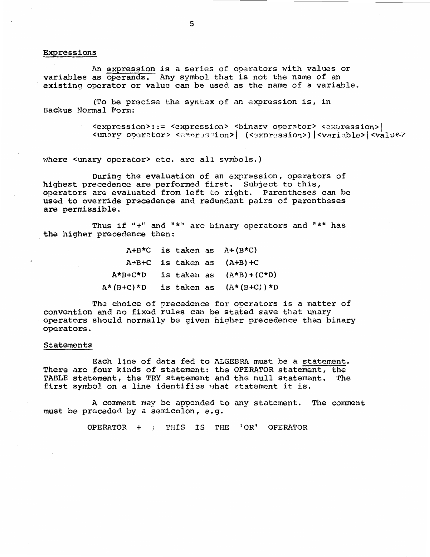#### Expressions

An expression is a series of operators with values or variables as operands. Any symbol that is not the name of an existing operator or value can be used as the name of a variable.

(To be precise the syntax of an expression is, in Backus Normal Form:

> <expression>::= <expression> <br/> <br/> <br/>expression> </>> | <unary operator> <expression> | (<expression>) |<variable> |<value/

where <unary operator> etc. are all symbols.)

During the evaluation of an expression, operators of highest precedence are performed first. Subject to this, operators are evaluated from left to right. Parentheses can be used to override precedence and redundant pairs of parentheses are permissible.

Thus if "+" and "\*" are binary operators and "\*" has the higher precedence then:

|  |  | $A+B*C$ is taken as $A+(B*C)$             |
|--|--|-------------------------------------------|
|  |  | $A+B+C$ is taken as $(A+B)+C$             |
|  |  | $A*B+C*D$ is taken as $(A*B)+(C*D)$       |
|  |  | $A^*(B+C)^*D$ is taken as $(A^*(B+C))^*D$ |

The choice of precedence for operators is a matter of convention and no fixed rules can be stated save that unary operators should normally be given higher precedence than binary operators.

#### Statements

Each line of data fed to ALGEBRA must be a statement. There are four kinds of statement: the OPERATOR statement, the TABLE statement. the TRY statement and the null statement. The TABLE statement, the TRY statement and the null statement. first symbol on a line identifies what statement it is.

A comment may be appended to any statement. The comment must be preceded by a semicolon, e.g.

OPERATOR  $+$  ; THIS IS THE 'OR' OPERATOR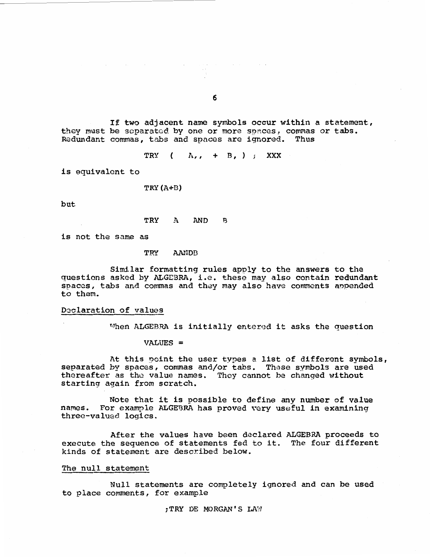If two adjacent name symbols occur within a statement, they must be separated by one or more spaces, commas or tabs. Redundant commas, tabs and spnces are ignored. Thus

TRY  $(A, , + B, )$  **XXX** 

is equivalent to

TRY (A+D)

but

TRY A AND B

is not the same as

TRY AANDB

Similar formatting rules apply to the answers to the questions asked by ALGEBRA, i.e. these may also contain redundant spacas, tabs and commas and they may also have comments anpended to them.

## Declaration of values

 $M$ hen ALGEBRA is initially entered it asks the question

 $VALUES =$ 

At this point the user types a list of different symbols, separated by spaces, commas and/or tabs. These symbols are used thereafter as the value names. They cannot be changed without starting again from scratch.

Note that it is possible to define any number of value names. For example ALGEBRA has proved very useful in examining three-valued logics.

After the values have been declared ALGEBRA proceeds to execute the sequence of statements fed to it. The four different kinds of statement are described below.

## The null statement

Null statements are completely ignored and can be used to place comments, for example

**;TRY** DE MORGAN'S LN'J

6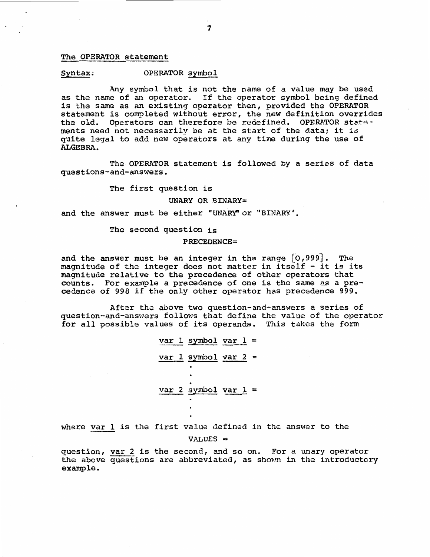### The OPERATOR statement

### Syntax: OPERATOR symbol

Any symbol that is not the name of a value may be used as the name of an operator. If the operator symbol being defined is the same as an existing operator then, provided the OPERATOR statement is completed without error, the new definition overrides the old. Operators can therefore be redefined. OPERATOR statements need not necessarily be at the start of the data; it is quite legal to add new operators at any time during the use of **ALGEBRA.** 

The OPERATOR statement is followed by a series of data questions-and-answers.

The first question is

#### **UNARY OR BINARY=**

and the answer must be either "UNARY" or "BINARY".

#### The second question is

#### **PRECEDENCE=**

and the answer must be an integer in the range [0,999]. The magnitude of the integer does not matter in itself - it is its magnitude relative to the precedence of other operators that counts. For example a precedence of one is the same as a precedence of 998 if the only other operator has precedence 999.

After the above two question-and-answers a series of question-and-answers follows that define the value of the operator for all possible values of its operands. This takes the form

$$
\frac{\text{var }1 \text{ symbol } \text{var }1}{\text{var }2 \text{ symbol } \text{var }2}
$$
\n
$$
\frac{\text{var }1 \text{ symbol } \text{var }2}{\text{var }2 \text{ symbol } \text{var }1}
$$

where var 1 is the first value defined in the answer to the

VALUES=

question, var 2 is the second, and so on. For a unary operator the above questions are abbreviated, as shown in the introductory example.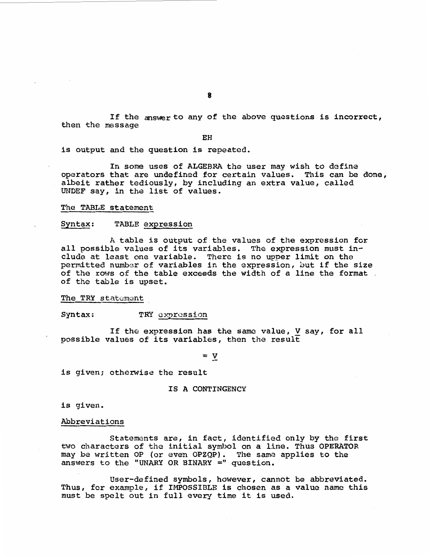If the answer to any of the above questions is incorrect, then the message

**EH** 

is output and the question is repeated.

In some uses of ALGEBRA the user may wish to define operators that are undefined for certain values. This can be done, albeit rather tediously, by including an extra value, called UNDEF say, in the list of values.

## The TABLE statement

#### Syntax: TABLE expression

A table is output of the values of the expression for all possible values of its variables. The expression must include at least one variable. There is no upper limit on the permitted number of variables in the expression, but if the size of the rows of the table exceeds the width of a line the format . of the table is upset.

The TRY statement

Syntax: TRY expression

If the expression has the same value, V say, for all possible values of its variables, then the result

= **V** 

is given; otherwise the result

#### **IS A CONTINGENCY**

is given.

### Abbreviations

Statements are, in fact, identified only by the first two characters of the initial symbol on a line. Thus OPERATOR may be written OP (or even OPZQP). The same applies to the answers to the "UNARY OR BINARY=" question.

User-defined symbols, however, cannot be abbreviated. Thus, for example, if IMPOSSIBLE is chosen as a value name this must be spelt out in full every time it is used.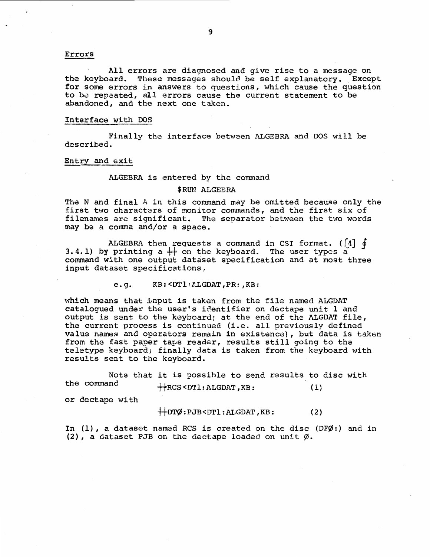### Errors

All errors are diagnosed and give rise to a message on the keyboard. These messages should be self explanatory. Except for some errors in answers to questions, which cause the question to be repeated, all errors cause the current statement to be abandoned, and the next one taken.

### Interface with DOS

Finally the interface between ALGEBRA and DOS will be described.

#### Entry and exit

### ALGEBRA is entered by the command

#### \$RUN ALGEBRA

The N and final A in this command may be omitted because only the first two characters of monitor commands, and the first six of filenames arc significant. The separator between the two words may be a comma and/or a space.

ALGEBRA then requests a command in CSI format. ( $\begin{bmatrix} 4 \end{bmatrix}$   $\phi$ 3.4.1) by printing a  $\#$  on the keyboard. The user types a command with one output dataset specification and at most three input dataset specifications,

e.g. KB:<DTl: PLGDAT, PR:, KB:

which means that i,nput is taken from the file named ALGDAT catalogued under the user's identifier on dectape unit 1 and output is sent to the keyboard; at the end of the ALGDAT file, the current process is continued (i.e. all previously defined value names and operators remain in existence), but data is taken from the fast paper tape reader, results still going to the teletype keyboard; finally data is taken from the keyboard with results sent to the keyboard.

Note that it is possible to send results to disc with<br>the command these form  $\lambda$  form  $\mu$  $\overline{H}$ RCS <DTl:ALGDAT, KB: (1)

or dectape with

 $\downarrow$   $\downarrow$   $\downarrow$   $\downarrow$   $\uparrow$   $\uparrow$   $\downarrow$   $\downarrow$   $\downarrow$   $\downarrow$   $\downarrow$   $\downarrow$   $\downarrow$   $\downarrow$   $\downarrow$   $\downarrow$   $\downarrow$   $\downarrow$   $\downarrow$   $\downarrow$   $\downarrow$   $\downarrow$   $\downarrow$   $\downarrow$   $\downarrow$   $\downarrow$   $\downarrow$   $\downarrow$   $\downarrow$   $\downarrow$   $\downarrow$   $\downarrow$   $\downarrow$   $\downarrow$   $\downarrow$   $\downarrow$   $\downarrow$ 

In (1), a dataset named RCS is created on the disc (DF9}:) and in (2), a dataset PJB on the dectape loaded on unit *9}.*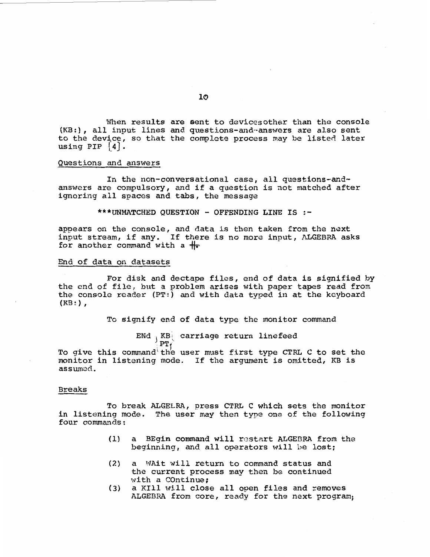When results are sent to devices other than the console (KB:), all input lines and questions-and~answers are also sent to the device, so that the complete process may be listed later using PIP  $|4|$ .

### Questions and answers

In the non-conversational case, all questions-andanswers are compulsory, and if a question is not matched after ignoring all spaces and tabs, the message

**\*\*\*UNMATCHED QUESTION** - **OFFENDING LINE IS** :-

appears on the console, and data is then taken from the next input stream, if any. If there is no more input, ALGEBRA asks for another command with a  $#$ 

#### End of data on datasets

For disk and dectape files, end of data is signified by the end of file, but a problem arises with paper tapes read from the console reader  $(PT; )$  and with data typed in at the keyboard  $(KB: )$ ,

To signify end of data type the monitor command

ENd . KB carriage return linefeed  $\frac{1}{2}$  PT<sub>f</sub>

To give this command the user must first type CTRL C to set the monitor in listening mode. If the argument is omitted, KB is assumed.

#### Breaks

To break ALGELRA, press CTRL C which sets the monitor in listening mode. The user may then type one of the following four commands:

- (1) a BEgin command will restart ALGEBRA from the beginning, and. all operators will be lost;
- (2) a WAit will return to command status and the current process may then be continued with a COntinue;
- $(3)$  a KIll will close all open files and removes ALGEBRA from core, ready for the next program;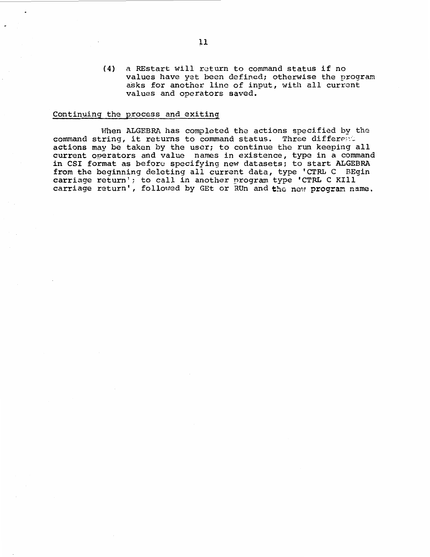(4) a REstart will return to command status if no values have yet been defined; otherwise the program asks for another line of input, with all current values and operators saved.

## Continuing the process and exiting

When ALGEBRA has completed the actions specified by the command string, it returns to command status. Three different actions may be taken by the user; to continue the run keeping all current operators and value names in existence, type in a command in CSI format as before specifying new datasets; to start ALGEBRA from the beginning deleting all currant data, type 'CTRL C BEgin carriage return'; to call in another program type 'CTRL C Kill carriage return', followed by GEt or RUn and the new program name.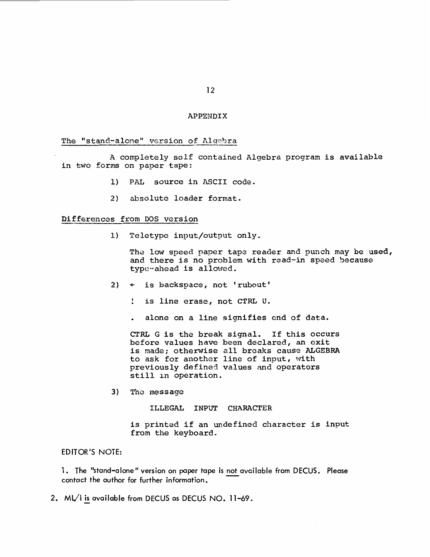## APPENDIX

## The "stand-alone" version of Algebra

A completely self contained Algebra program is available in two forms on paper tape:

- 1) PAL source in ASCII code.
- 2) absolute loader format.

## Differences from DOS version

1) Teletype input/output only.

The low speed paper tape reader and punch may be used, and there is no problem with read-in speed because type-ahead is allowed.

- 2) + is backspace, not 'rubout'
	- $\mathbf{L}$ is line erase, not CTRL u.
	- alone on a line signifies end of data.

CTRL G is the break signal. If this occurs before values have been declared, an oxit is made; otherwise all breaks cause ALGEBRA to ask for another line of input, with previously defined values and operators still in operation.

3) The message

ILLEGAL INPUT CHARACTER

is printed if an undefined character is input from the keyboard.

EDITOR'S NOTE:

1.The "stand–alone" version on paper tape is <u>not available from DECUS.Please</u><br>contact the author for further information.

2. ML/I is available from DECUS as DECUS NO. 11-69.